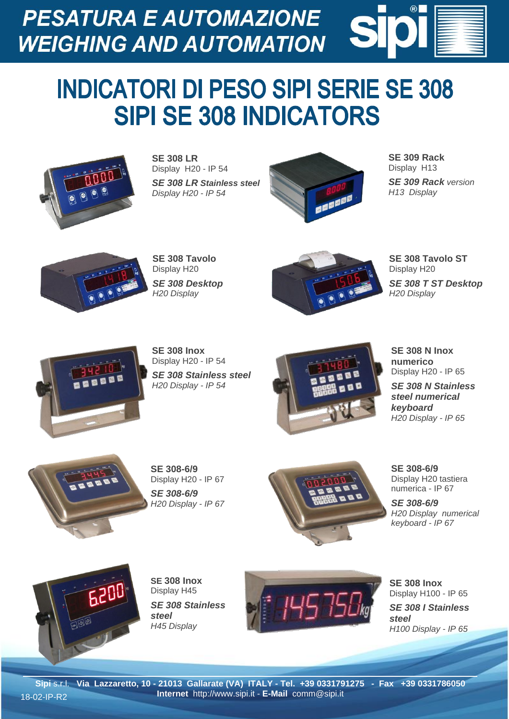**PESATURA E AUTOMAZIONE WEIGHING AND AUTOMATION** 

## **INDICATORI DI PESO SIPI SERIE SE 308 SIPI SE 308 INDICATORS**



**SE 308 LR** Display H20 - IP 54 *SE 308 LR Stainless steel Display H20 - IP 54*



**SE 309 Rack** Display H13 *SE 309 Rack version H13 Display*



**SE 308 Tavolo** Display H20 *SE 308 Desktop H20 Display*



**SE 308 Tavolo ST** Display H20 *SE 308 T ST Desktop H20 Display*



**SE 308 Inox** Display H20 - IP 54 *SE 308 Stainless steel H20 Display - IP 54*



**SE 308 N Inox numerico** Display H20 - IP 65

*SE 308 N Stainless steel numerical keyboard H20 Display - IP 65*



**SE 308-6/9** Display H20 - IP 67 *SE 308-6/9 H20 Display - IP 67*



**SE 308-6/9** Display H20 tastiera numerica - IP 67

*SE 308-6/9 H20 Display numerical keyboard - IP 67*



**SE 308 Inox** Display H45 *SE 308 Stainless steel H45 Display* 



**SE 308 Inox** Display H100 - IP 65 *SE 308 I Stainless steel H100 Display - IP 65*

**Sipi** s.r.l. **Via Lazzaretto, 10 - 21013 Gallarate (VA) ITALY - Tel. +39 0331791275 - Fax +39 0331786050 Internet** http://www.sipi.it - **E-Mail** comm@sipi.it 18-02-IP-R2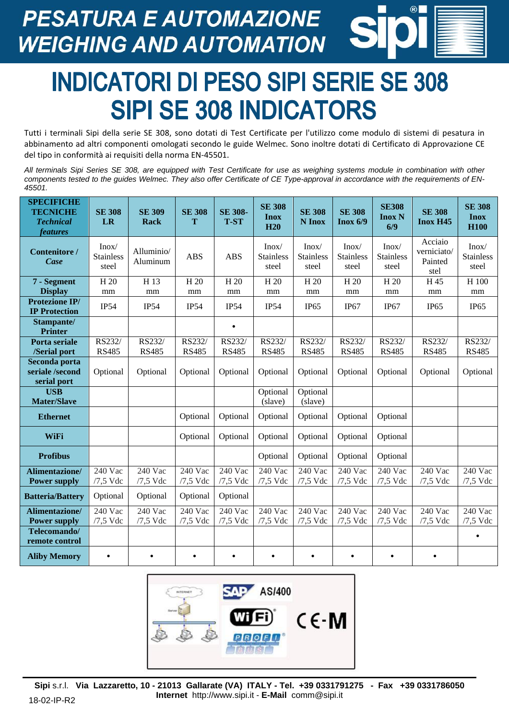**PESATURA E AUTOMAZIONE WEIGHING AND AUTOMATION** 



## **INDICATORI DI PESO SIPI SERIE SE 308 SIPI SE 308 INDICATORS**

Tutti i terminali Sipi della serie SE 308, sono dotati di Test Certificate per l'utilizzo come modulo di sistemi di pesatura in abbinamento ad altri componenti omologati secondo le guide Welmec. Sono inoltre dotati di Certificato di Approvazione CE del tipo in conformità ai requisiti della norma EN-45501.

*All terminals Sipi Series SE 308, are equipped with Test Certificate for use as weighing systems module in combination with other components tested to the guides Welmec. They also offer Certificate of CE Type-approval in accordance with the requirements of EN-45501.*

| <b>SPECIFICHE</b><br><b>TECNICHE</b><br><b>Technical</b><br><i>features</i> | <b>SE 308</b><br>LR                | <b>SE 309</b><br>Rack  | <b>SE 308</b><br>T     | <b>SE 308-</b><br><b>T-ST</b> | <b>SE 308</b><br><b>Inox</b><br>H20 | <b>SE 308</b><br>N Inox            | <b>SE 308</b><br>Inox 6/9          | <b>SE308</b><br><b>Inox N</b><br>6/9 | <b>SE 308</b><br><b>Inox H45</b>          | <b>SE 308</b><br><b>Inox</b><br><b>H100</b> |
|-----------------------------------------------------------------------------|------------------------------------|------------------------|------------------------|-------------------------------|-------------------------------------|------------------------------------|------------------------------------|--------------------------------------|-------------------------------------------|---------------------------------------------|
| <b>Contenitore</b> /<br><b>Case</b>                                         | Inox/<br><b>Stainless</b><br>steel | Alluminio/<br>Aluminum | <b>ABS</b>             | <b>ABS</b>                    | Inox/<br><b>Stainless</b><br>steel  | Inox/<br><b>Stainless</b><br>steel | Inox/<br><b>Stainless</b><br>steel | Inox/<br><b>Stainless</b><br>steel   | Acciaio<br>verniciato/<br>Painted<br>stel | Inox/<br><b>Stainless</b><br>steel          |
| 7 - Segment<br><b>Display</b>                                               | H <sub>20</sub><br>mm              | H 13<br>mm             | H <sub>20</sub><br>mm  | H <sub>20</sub><br>mm         | H 20<br>mm                          | H <sub>20</sub><br>mm              | H <sub>20</sub><br>mm              | H 20<br>mm                           | H 45<br>mm                                | H 100<br>mm                                 |
| <b>Protezione IP/</b><br><b>IP Protection</b>                               | <b>IP54</b>                        | IP54                   | <b>IP54</b>            | IP54                          | IP54                                | IP <sub>65</sub>                   | IP67                               | IP67                                 | IP <sub>65</sub>                          | IP <sub>65</sub>                            |
| Stampante/<br><b>Printer</b>                                                |                                    |                        |                        | $\bullet$                     |                                     |                                    |                                    |                                      |                                           |                                             |
| Porta seriale<br>/Serial port                                               | RS232/<br><b>RS485</b>             | RS232/<br><b>RS485</b> | RS232/<br><b>RS485</b> | RS232/<br><b>RS485</b>        | RS232/<br><b>RS485</b>              | RS232/<br><b>RS485</b>             | RS232/<br><b>RS485</b>             | RS232/<br><b>RS485</b>               | RS232/<br><b>RS485</b>                    | RS232/<br><b>RS485</b>                      |
| Seconda porta<br>seriale /second<br>serial port                             | Optional                           | Optional               | Optional               | Optional                      | Optional                            | Optional                           | Optional                           | Optional                             | Optional                                  | Optional                                    |
| <b>USB</b><br><b>Mater/Slave</b>                                            |                                    |                        |                        |                               | Optional<br>(slave)                 | Optional<br>(slave)                |                                    |                                      |                                           |                                             |
| <b>Ethernet</b>                                                             |                                    |                        | Optional               | Optional                      | Optional                            | Optional                           | Optional                           | Optional                             |                                           |                                             |
| WiFi                                                                        |                                    |                        | Optional               | Optional                      | Optional                            | Optional                           | Optional                           | Optional                             |                                           |                                             |
| <b>Profibus</b>                                                             |                                    |                        |                        |                               | Optional                            | Optional                           | Optional                           | Optional                             |                                           |                                             |
| <b>Alimentazione/</b><br><b>Power supply</b>                                | 240 Vac<br>$/7,5$ Vdc              | 240 Vac<br>$/7,5$ Vdc  | 240 Vac<br>$/7,5$ Vdc  | 240 Vac<br>$/7,5$ Vdc         | 240 Vac<br>$/7,5$ Vdc               | 240 Vac<br>$/7,5$ Vdc              | $240$ Vac<br>$/7,5$ Vdc            | 240 Vac<br>/7,5 Vdc                  | 240 Vac<br>$/7,5$ Vdc                     | 240 Vac<br>$/7,5$ Vdc                       |
| <b>Batteria/Battery</b>                                                     | Optional                           | Optional               | Optional               | Optional                      |                                     |                                    |                                    |                                      |                                           |                                             |
| Alimentazione/<br><b>Power supply</b>                                       | 240 Vac<br>$/7,5$ Vdc              | 240 Vac<br>$/7,5$ Vdc  | 240 Vac<br>$/7,5$ Vdc  | 240 Vac<br>$/7,5$ Vdc         | 240 Vac<br>$/7,5$ Vdc               | 240 Vac<br>$/7,5$ Vdc              | $240$ Vac<br>$/7,5$ Vdc            | 240 Vac<br>$/7,5$ Vdc                | $240$ Vac<br>$/7,5$ Vdc                   | $240$ Vac<br>$/7,5$ Vdc                     |
| Telecomando/<br>remote control                                              |                                    |                        |                        |                               |                                     |                                    |                                    |                                      |                                           | $\bullet$                                   |
| <b>Aliby Memory</b>                                                         | $\bullet$                          | $\bullet$              | $\bullet$              | $\bullet$                     | $\bullet$                           | $\bullet$                          | $\bullet$                          | $\bullet$                            | $\bullet$                                 |                                             |



**Sipi** s.r.l. **Via Lazzaretto, 10 - 21013 Gallarate (VA) ITALY - Tel. +39 0331791275 - Fax +39 0331786050 Internet** http://www.sipi.it - **E-Mail** comm@sipi.it 18-02-IP-R2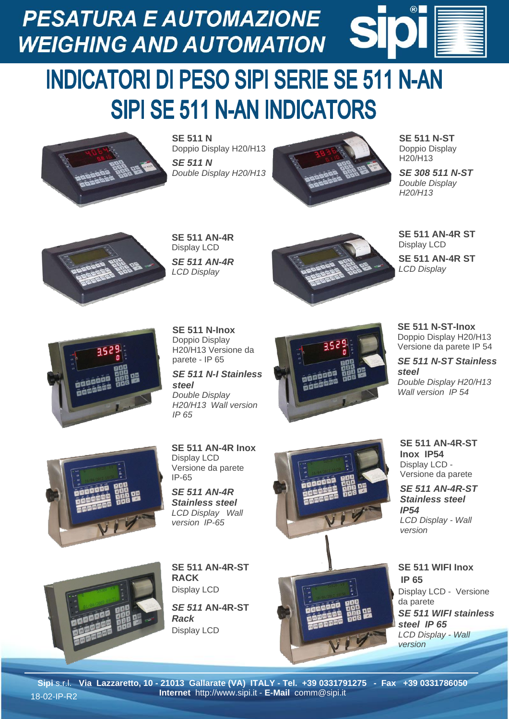**PESATURA E AUTOMAZIONE WEIGHING AND AUTOMATION** 

## **INDICATORI DI PESO SIPI SERIE SE 511 N-AN SIPI SE 511 N-AN INDICATORS**



**SE 511 N** Doppio Display H20/H13 *SE 511 N Double Display H20/H13*



**SE 511 N-ST** Doppio Display H20/H13

 $\bigcirc$ 

*SE 308 511 N-ST Double Display H20/H13*



**SE 511 AN-4R** Display LCD *SE 511 AN-4R LCD Display* 



**SE 511 AN-4R ST** Display LCD

**SE 511 AN-4R ST** *LCD Display*





*steel Double Display H20/H13 Wall version IP 65*



**SE 511 N-ST-Inox** Doppio Display H20/H13 Versione da parete IP 54

*SE 511 N-ST Stainless steel Double Display H20/H13 Wall version IP 54*



**SE 511 AN-4R Inox** Display LCD Versione da parete IP-65

*SE 511 AN-4R Stainless steel LCD Display Wall version IP-65*





**SE 511 AN-4R-ST Inox IP54** Display LCD - Versione da parete

*SE 511 AN-4R-ST Stainless steel IP54 LCD Display - Wall version* 

**SE 511 WIFI Inox IP 65** Display LCD - Versione da parete *SE 511 WIFI stainless steel IP 65 LCD Display - Wall version*



**SE 511 AN-4R-ST RACK** Display LCD

*SE 511* **AN-4R-ST** *Rack* Display LCD

**Sipi** s.r.l. **Via Lazzaretto, 10 - 21013 Gallarate (VA) ITALY - Tel. +39 0331791275 - Fax +39 0331786050 Internet** http://www.sipi.it - **E-Mail** comm@sipi.it 18-02-IP-R2